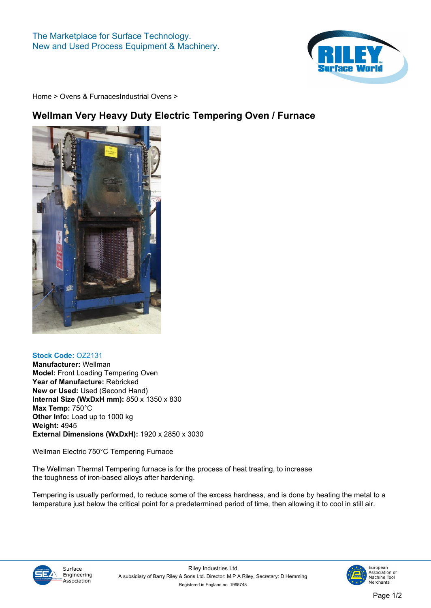

**[Home](https://www.rileysurfaceworld.co.uk) > [Ovens & Furnaces](https://www.rileysurfaceworld.co.uk/ovens.asp)[Industrial Ovens](https://www.rileysurfaceworld.co.uk/ovens-industrial.asp) >**

## **Wellman Very Heavy Duty Electric Tempering Oven / Furnace**



## **Stock Code: OZ2131**

**Manufacturer: Wellman Model: Front Loading Tempering Oven Year of Manufacture: Rebricked New or Used: Used (Second Hand) Internal Size (WxDxH mm): 850 x 1350 x 830 Max Temp: 750°C Other Info: Load up to 1000 kg Weight: 4945 External Dimensions (WxDxH): 1920 x 2850 x 3030**

**Wellman Electric 750°C Tempering Furnace**

**The Wellman Thermal Tempering furnace is for the process of heat treating, to increase the toughness of iron-based alloys after hardening.** 

**Tempering is usually performed, to reduce some of the excess hardness, and is done by heating the metal to a temperature just below the critical point for a predetermined period of time, then allowing it to cool in still air.**